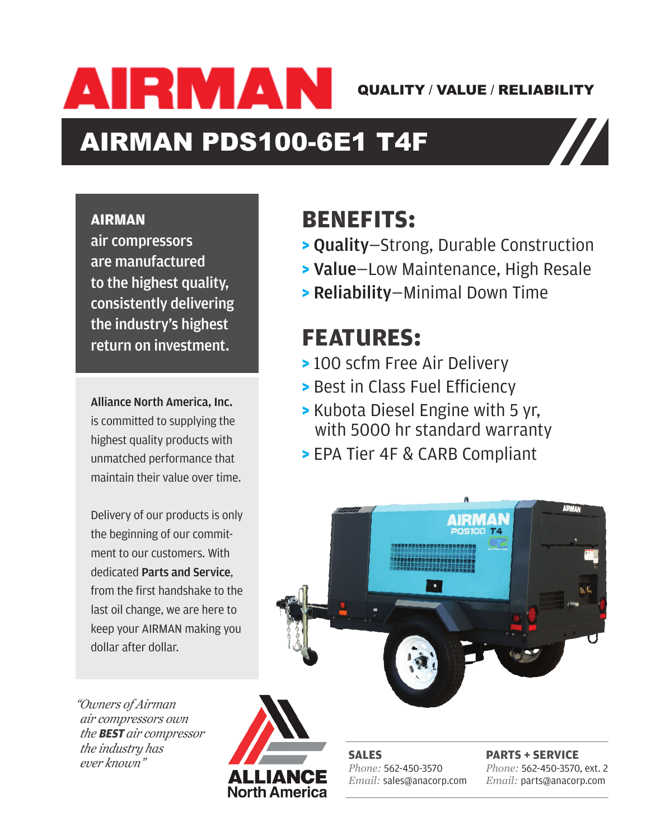AIRMAN QUALITY / VALUE / RELIABILITY

**are manufactured to the highest quality, consistently** 

# AIRMAN PDS100-6E1 T4F **AIRMAN air compressors**

AIRMAN PDS100-6E1 T4F

### **AIRMAN**

air compressors are manufactured to the highest quality, consistently delivering the industry's highest return on investment.  $\log$  products with unmatched  $\log$ 

Alliance North America, Inc. is committed to supplying the highest quality products with unmatched performance that maintain their value over time.

Delivery of our products is only the beginning of our commitment to our customers. With dedicated **Parts and Service,**  $\begin{array}{|c|c|}\hline \end{array}$ from the first handshake to the  $\sim$ last oil change, we are here to keep your AIRMAN making you **the state of the state of the state** dollar after dollar. is yuu

## **BENEFITS: delivering the industry's**

- **>** Quality—Strong, Durable Construction N
- **Xalue**–Low Maintenance, High Resale **X** B **Reliability—Minimal Down Time** <sup>E</sup>
- **EV, EQUARE: > Reliability**—Minimal Down Time

# est **FEATURES:**

- **>** 100 scfm Free Air Delivery R $\overline{V}$
- **EXECUTE: BEST IN CLASS FUEL Efficiency**  $\bullet$  Best in Class Fuel Efficienc
- $\frac{m}{g}$  the **> Kubota Diesel Engine with 5 yr,**  $\frac{g_{\text{turb}}}{g_{\text{turb}}}$  with 5000 hr standard warranty **5 yr, 5000 hr standard warranty** .-<br>h
- with **Daniel State of The Separate Tier 4F & CARB Compliant** that **FILIPLE AIRMAN EPA Tier 4F & CARB Compliant**



*"Owners of Airman air compressors own the* **BEST** *air compressor the industry has ever known"*



**SALES** *Phone:* 562-450-3570 *Email:* sales@anacorp.com

**PARTS + SERVICE** *Phone:* 562-450-3570, ext. 2 *Email:* parts@anacorp.com QUALITY VALUE RELIABILITY